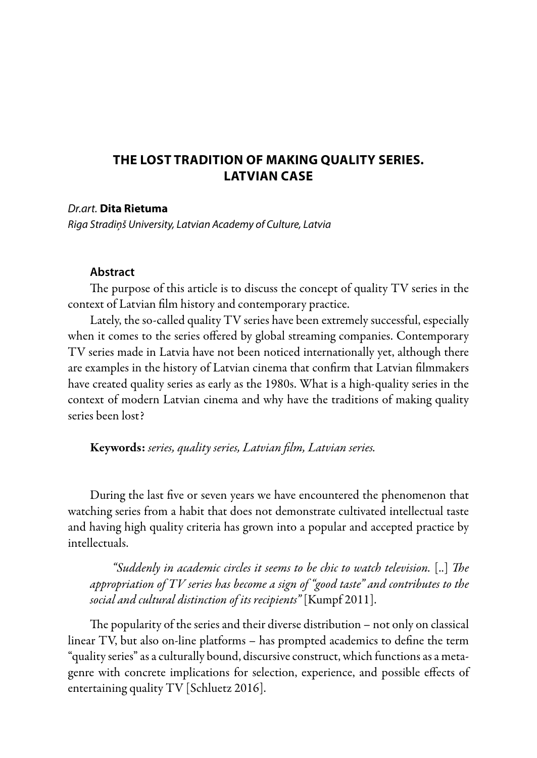## **THE LOST TRADITION OF MAKING QUALITY SERIES. LATVIAN CASE**

## *Dr.art.* **Dita Rietuma**

*Riga Stradiņš University, Latvian Academy of Culture, Latvia*

## **Abstract**

The purpose of this article is to discuss the concept of quality TV series in the context of Latvian film history and contemporary practice.

Lately, the so-called quality TV series have been extremely successful, especially when it comes to the series offered by global streaming companies. Contemporary TV series made in Latvia have not been noticed internationally yet, although there are examples in the history of Latvian cinema that confirm that Latvian filmmakers have created quality series as early as the 1980s. What is a high-quality series in the context of modern Latvian cinema and why have the traditions of making quality series been lost?

Keywords: *series, quality series, Latvian film, Latvian series.*

During the last five or seven years we have encountered the phenomenon that watching series from a habit that does not demonstrate cultivated intellectual taste and having high quality criteria has grown into a popular and accepted practice by intellectuals.

*"Suddenly in academic circles it seems to be chic to watch television.* [..] *The appropriation of TV series has become a sign of "good taste" and contributes to the social and cultural distinction of its recipients"* [Kumpf 2011].

The popularity of the series and their diverse distribution – not only on classical linear TV, but also on-line platforms – has prompted academics to define the term "quality series" as a culturally bound, discursive construct, which functions as a metagenre with concrete implications for selection, experience, and possible effects of entertaining quality TV [Schluetz 2016].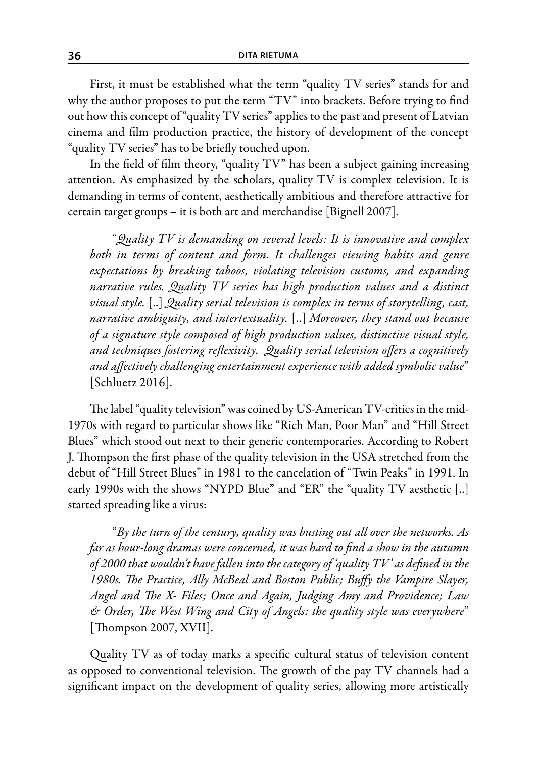First, it must be established what the term "quality TV series" stands for and why the author proposes to put the term "TV" into brackets. Before trying to find out how this concept of "quality TV series" applies to the past and present of Latvian cinema and film production practice, the history of development of the concept "quality TV series" has to be briefly touched upon.

In the field of film theory, "quality TV" has been a subject gaining increasing attention. As emphasized by the scholars, quality TV is complex television. It is demanding in terms of content, aesthetically ambitious and therefore attractive for certain target groups – it is both art and merchandise [Bignell 2007].

"*Quality TV is demanding on several levels: It is innovative and complex both in terms of content and form. It challenges viewing habits and genre expectations by breaking taboos, violating television customs, and expanding narrative rules. Quality TV series has high production values and a distinct visual style.* [..] *Quality serial television is complex in terms of storytelling, cast, narrative ambiguity, and intertextuality.* [..] *Moreover, they stand out because of a signature style composed of high production values, distinctive visual style, and techniques fostering reflexivity. Quality serial television offers a cognitively and affectively challenging entertainment experience with added symbolic value*" [Schluetz 2016].

The label "quality television" was coined by US-American TV-critics in the mid-1970s with regard to particular shows like "Rich Man, Poor Man" and "Hill Street Blues" which stood out next to their generic contemporaries. According to Robert J. Thompson the first phase of the quality television in the USA stretched from the debut of "Hill Street Blues" in 1981 to the cancelation of "Twin Peaks" in 1991. In early 1990s with the shows "NYPD Blue" and "ER" the "quality TV aesthetic [..] started spreading like a virus:

"*By the turn of the century, quality was busting out all over the networks. As far as hour-long dramas were concerned, it was hard to find a show in the autumn of 2000 that wouldn't have fallen into the category of 'quality TV' as defined in the 1980s. The Practice, Ally McBeal and Boston Public; Buffy the Vampire Slayer, Angel and The X- Files; Once and Again, Judging Amy and Providence; Law & Order, The West Wing and City of Angels: the quality style was everywhere*" [Thompson 2007, XVII].

Quality TV as of today marks a specific cultural status of television content as opposed to conventional television. The growth of the pay TV channels had a significant impact on the development of quality series, allowing more artistically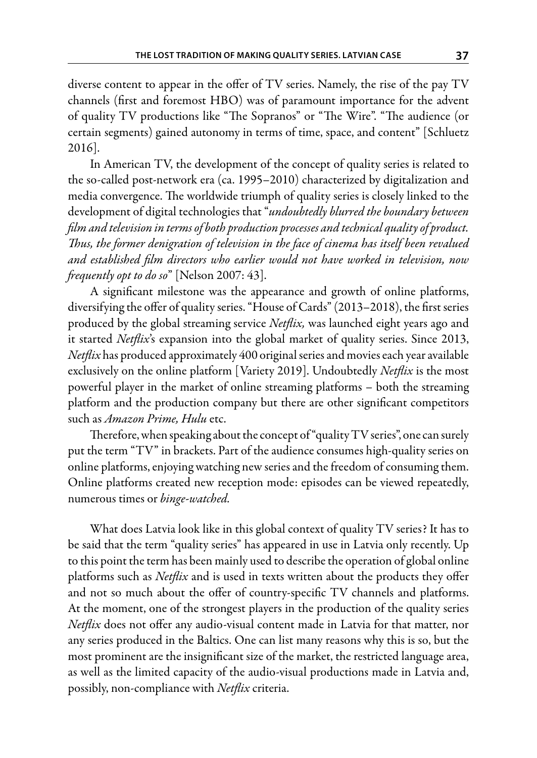diverse content to appear in the offer of TV series. Namely, the rise of the pay TV channels (first and foremost HBO) was of paramount importance for the advent of quality TV productions like "The Sopranos" or "The Wire". "The audience (or certain segments) gained autonomy in terms of time, space, and content" [Schluetz 2016].

In American TV, the development of the concept of quality series is related to the so-called post-network era (ca. 1995–2010) characterized by digitalization and media convergence. The worldwide triumph of quality series is closely linked to the development of digital technologies that "*undoubtedly blurred the boundary between film and television in terms of both production processes and technical quality of product. Thus, the former denigration of television in the face of cinema has itself been revalued and established film directors who earlier would not have worked in television, now frequently opt to do so*" [Nelson 2007: 43].

A significant milestone was the appearance and growth of online platforms, diversifying the offer of quality series. "House of Cards" (2013–2018), the first series produced by the global streaming service *Netflix,* was launched eight years ago and it started *Netflix*'s expansion into the global market of quality series. Since 2013, *Netflix* has produced approximately 400 original series and movies each year available exclusively on the online platform [Variety 2019]. Undoubtedly *Netflix* is the most powerful player in the market of online streaming platforms – both the streaming platform and the production company but there are other significant competitors such as *Amazon Prime, Hulu* etc.

Therefore, when speaking about the concept of "quality TV series", one can surely put the term "TV" in brackets. Part of the audience consumes high-quality series on online platforms, enjoying watching new series and the freedom of consuming them. Online platforms created new reception mode: episodes can be viewed repeatedly, numerous times or *binge-watched.*

What does Latvia look like in this global context of quality TV series? It has to be said that the term "quality series" has appeared in use in Latvia only recently. Up to this point the term has been mainly used to describe the operation of global online platforms such as *Netflix* and is used in texts written about the products they offer and not so much about the offer of country-specific TV channels and platforms. At the moment, one of the strongest players in the production of the quality series *Netflix* does not offer any audio-visual content made in Latvia for that matter, nor any series produced in the Baltics. One can list many reasons why this is so, but the most prominent are the insignificant size of the market, the restricted language area, as well as the limited capacity of the audio-visual productions made in Latvia and, possibly, non-compliance with *Netflix* criteria.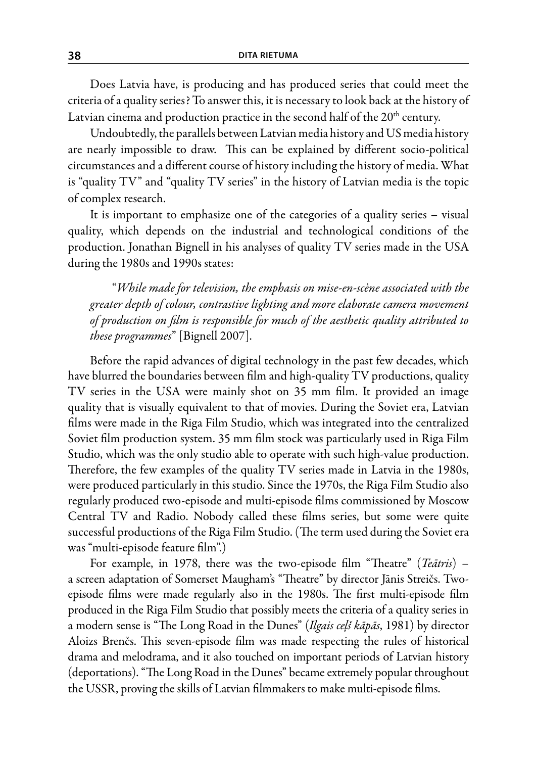Does Latvia have, is producing and has produced series that could meet the criteria of a quality series? To answer this, it is necessary to look back at the history of Latvian cinema and production practice in the second half of the 20<sup>th</sup> century.

Undoubtedly, the parallels between Latvian media history and US media history are nearly impossible to draw. This can be explained by different socio-political circumstances and a different course of history including the history of media. What is "quality TV" and "quality TV series" in the history of Latvian media is the topic of complex research.

It is important to emphasize one of the categories of a quality series – visual quality, which depends on the industrial and technological conditions of the production. Jonathan Bignell in his analyses of quality TV series made in the USA during the 1980s and 1990s states:

"*While made for television, the emphasis on mise-en-scène associated with the greater depth of colour, contrastive lighting and more elaborate camera movement of production on film is responsible for much of the aesthetic quality attributed to these programmes*" [Bignell 2007].

Before the rapid advances of digital technology in the past few decades, which have blurred the boundaries between film and high-quality TV productions, quality TV series in the USA were mainly shot on 35 mm film. It provided an image quality that is visually equivalent to that of movies. During the Soviet era, Latvian films were made in the Riga Film Studio, which was integrated into the centralized Soviet film production system. 35 mm film stock was particularly used in Riga Film Studio, which was the only studio able to operate with such high-value production. Therefore, the few examples of the quality TV series made in Latvia in the 1980s, were produced particularly in this studio. Since the 1970s, the Riga Film Studio also regularly produced two-episode and multi-episode films commissioned by Moscow Central TV and Radio. Nobody called these films series, but some were quite successful productions of the Riga Film Studio. (The term used during the Soviet era was "multi-episode feature film".)

For example, in 1978, there was the two-episode film "Theatre" (*Teātris*) – a screen adaptation of Somerset Maugham's "Theatre" by director Jānis Streičs. Twoepisode films were made regularly also in the 1980s. The first multi-episode film produced in the Riga Film Studio that possibly meets the criteria of a quality series in a modern sense is "The Long Road in the Dunes" (*Ilgais ceļš kāpās*, 1981) by director Aloizs Brenčs. This seven-episode film was made respecting the rules of historical drama and melodrama, and it also touched on important periods of Latvian history (deportations). "The Long Road in the Dunes" became extremely popular throughout the USSR, proving the skills of Latvian filmmakers to make multi-episode films.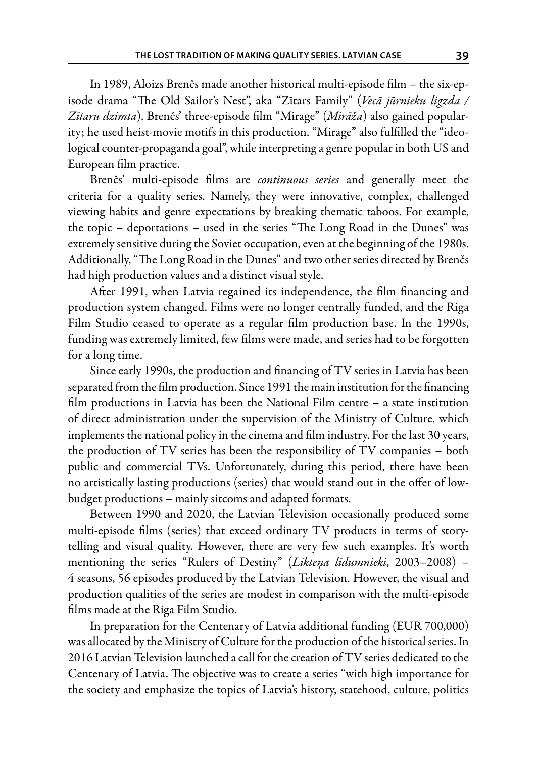In 1989, Aloizs Brenčs made another historical multi-episode film – the six-episode drama "The Old Sailor's Nest", aka "Zītars Family" (*Vecā jūrnieku ligzda / Zītaru dzimta*). Brenčs' three-episode film "Mirage" (*Mirāža*) also gained popularity; he used heist-movie motifs in this production. "Mirage" also fulfilled the "ideological counter-propaganda goal", while interpreting a genre popular in both US and European film practice.

Brenčs' multi-episode films are *continuous series* and generally meet the criteria for a quality series. Namely, they were innovative, complex, challenged viewing habits and genre expectations by breaking thematic taboos. For example, the topic – deportations – used in the series "The Long Road in the Dunes" was extremely sensitive during the Soviet occupation, even at the beginning of the 1980s. Additionally, "The Long Road in the Dunes" and two other series directed by Brenčs had high production values and a distinct visual style.

After 1991, when Latvia regained its independence, the film financing and production system changed. Films were no longer centrally funded, and the Riga Film Studio ceased to operate as a regular film production base. In the 1990s, funding was extremely limited, few films were made, and series had to be forgotten for a long time.

Since early 1990s, the production and financing of TV series in Latvia has been separated from the film production. Since 1991 the main institution for the financing film productions in Latvia has been the National Film centre – a state institution of direct administration under the supervision of the Ministry of Culture, which implements the national policy in the cinema and film industry. For the last 30 years, the production of TV series has been the responsibility of TV companies – both public and commercial TVs. Unfortunately, during this period, there have been no artistically lasting productions (series) that would stand out in the offer of lowbudget productions – mainly sitcoms and adapted formats.

Between 1990 and 2020, the Latvian Television occasionally produced some multi-episode films (series) that exceed ordinary TV products in terms of storytelling and visual quality. However, there are very few such examples. It's worth mentioning the series "Rulers of Destiny" (*Likteņa līdumnieki*, 2003–2008) – 4 seasons, 56 episodes produced by the Latvian Television. However, the visual and production qualities of the series are modest in comparison with the multi-episode films made at the Riga Film Studio.

In preparation for the Centenary of Latvia additional funding (EUR 700,000) was allocated by the Ministry of Culture for the production of the historical series. In 2016 Latvian Television launched a call for the creation of TV series dedicated to the Centenary of Latvia. The objective was to create a series "with high importance for the society and emphasize the topics of Latvia's history, statehood, culture, politics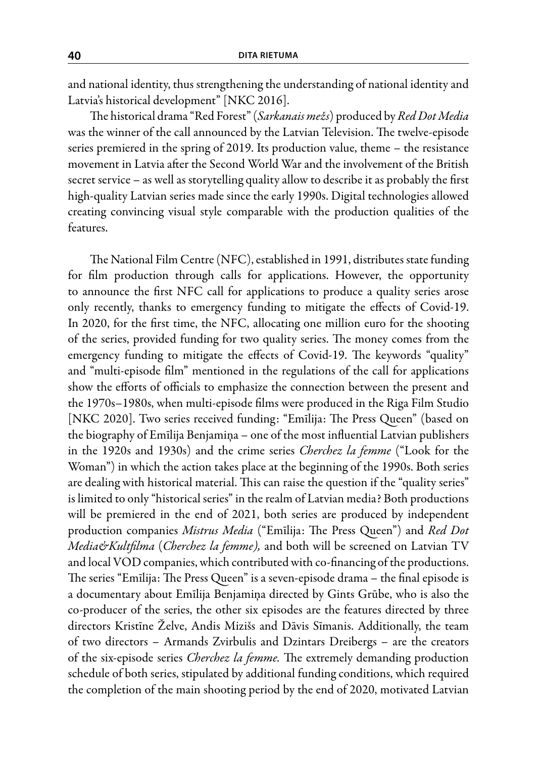and national identity, thus strengthening the understanding of national identity and Latvia's historical development" [NKC 2016].

The historical drama "Red Forest" (*Sarkanais mežs*) produced by *Red Dot Media* was the winner of the call announced by the Latvian Television. The twelve-episode series premiered in the spring of 2019. Its production value, theme – the resistance movement in Latvia after the Second World War and the involvement of the British secret service – as well as storytelling quality allow to describe it as probably the first high-quality Latvian series made since the early 1990s. Digital technologies allowed creating convincing visual style comparable with the production qualities of the features.

The National Film Centre (NFC), established in 1991, distributes state funding for film production through calls for applications. However, the opportunity to announce the first NFC call for applications to produce a quality series arose only recently, thanks to emergency funding to mitigate the effects of Covid-19. In 2020, for the first time, the NFC, allocating one million euro for the shooting of the series, provided funding for two quality series. The money comes from the emergency funding to mitigate the effects of Covid-19. The keywords "quality" and "multi-episode film" mentioned in the regulations of the call for applications show the efforts of officials to emphasize the connection between the present and the 1970s–1980s, when multi-episode films were produced in the Riga Film Studio [NKC 2020]. Two series received funding: "Emīlija: The Press Queen" (based on the biography of Emīlija Benjamiņa – one of the most influential Latvian publishers in the 1920s and 1930s) and the crime series *Cherchez la femme* ("Look for the Woman") in which the action takes place at the beginning of the 1990s. Both series are dealing with historical material. This can raise the question if the "quality series" is limited to only "historical series" in the realm of Latvian media? Both productions will be premiered in the end of 2021, both series are produced by independent production companies *Mistrus Media* ("Emīlija: The Press Queen") and *Red Dot Media&Kultfilma* (*Cherchez la femme),* and both will be screened on Latvian TV and local VOD companies, which contributed with co-financing of the productions. The series "Emīlija: The Press Queen" is a seven-episode drama – the final episode is a documentary about Emīlija Benjamiņa directed by Gints Grūbe, who is also the co-producer of the series, the other six episodes are the features directed by three directors Kristīne Želve, Andis Mizišs and Dāvis Sīmanis. Additionally, the team of two directors – Armands Zvirbulis and Dzintars Dreibergs – are the creators of the six-episode series *Cherchez la femme.* The extremely demanding production schedule of both series, stipulated by additional funding conditions, which required the completion of the main shooting period by the end of 2020, motivated Latvian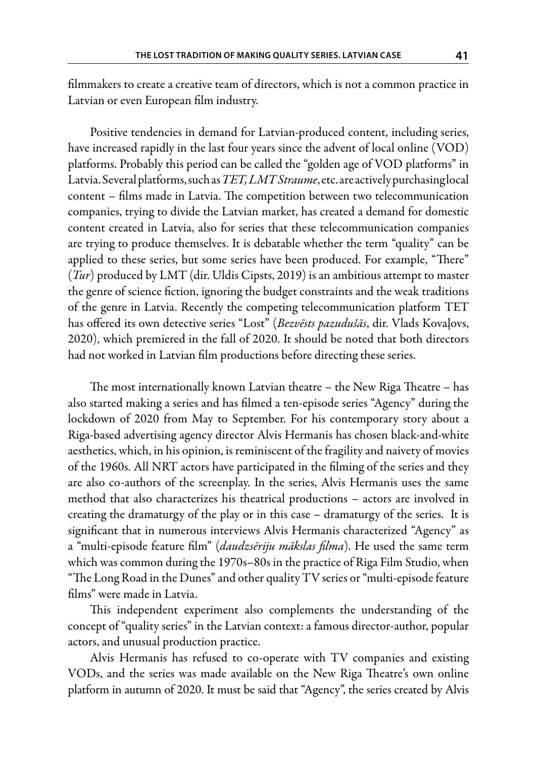filmmakers to create a creative team of directors, which is not a common practice in Latvian or even European film industry.

Positive tendencies in demand for Latvian-produced content, including series, have increased rapidly in the last four years since the advent of local online (VOD) platforms. Probably this period can be called the "golden age of VOD platforms" in Latvia. Several platforms, such as *TET, LMTStraume*, etc. are actively purchasing local content – films made in Latvia. The competition between two telecommunication companies, trying to divide the Latvian market, has created a demand for domestic content created in Latvia, also for series that these telecommunication companies are trying to produce themselves. It is debatable whether the term "quality" can be applied to these series, but some series have been produced. For example, "There" (*Tur*) produced by LMT (dir. Uldis Cipsts, 2019) is an ambitious attempt to master the genre of science fiction, ignoring the budget constraints and the weak traditions of the genre in Latvia. Recently the competing telecommunication platform TET has offered its own detective series "Lost" (*Bezvēsts pazudušās*, dir. Vlads Kovaļovs, 2020), which premiered in the fall of 2020. It should be noted that both directors had not worked in Latvian film productions before directing these series.

The most internationally known Latvian theatre – the New Riga Theatre – has also started making a series and has filmed a ten-episode series "Agency" during the lockdown of 2020 from May to September. For his contemporary story about a Riga-based advertising agency director Alvis Hermanis has chosen black-and-white aesthetics, which, in his opinion, is reminiscent of the fragility and naivety of movies of the 1960s. All NRT actors have participated in the filming of the series and they are also co-authors of the screenplay. In the series, Alvis Hermanis uses the same method that also characterizes his theatrical productions – actors are involved in creating the dramaturgy of the play or in this case – dramaturgy of the series. It is significant that in numerous interviews Alvis Hermanis characterized "Agency" as a "multi-episode feature film" (*daudzsēriju mākslas filma*). He used the same term which was common during the 1970s–80s in the practice of Riga Film Studio, when "The Long Road in the Dunes" and other quality TV series or "multi-episode feature films" were made in Latvia.

This independent experiment also complements the understanding of the concept of "quality series" in the Latvian context: a famous director-author, popular actors, and unusual production practice.

Alvis Hermanis has refused to co-operate with TV companies and existing VODs, and the series was made available on the New Riga Theatre's own online platform in autumn of 2020. It must be said that "Agency", the series created by Alvis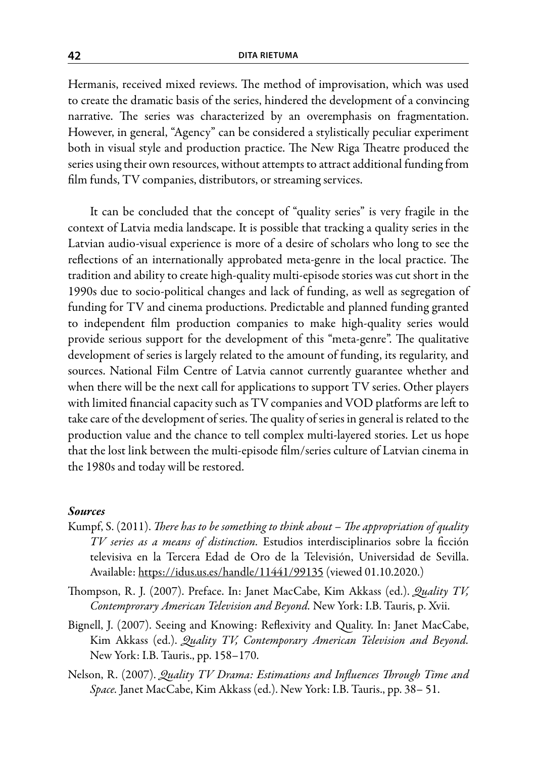Hermanis, received mixed reviews. The method of improvisation, which was used to create the dramatic basis of the series, hindered the development of a convincing narrative. The series was characterized by an overemphasis on fragmentation. However, in general, "Agency" can be considered a stylistically peculiar experiment both in visual style and production practice. The New Riga Theatre produced the series using their own resources, without attempts to attract additional funding from film funds, TV companies, distributors, or streaming services.

It can be concluded that the concept of "quality series" is very fragile in the context of Latvia media landscape. It is possible that tracking a quality series in the Latvian audio-visual experience is more of a desire of scholars who long to see the reflections of an internationally approbated meta-genre in the local practice. The tradition and ability to create high-quality multi-episode stories was cut short in the 1990s due to socio-political changes and lack of funding, as well as segregation of funding for TV and cinema productions. Predictable and planned funding granted to independent film production companies to make high-quality series would provide serious support for the development of this "meta-genre". The qualitative development of series is largely related to the amount of funding, its regularity, and sources. National Film Centre of Latvia cannot currently guarantee whether and when there will be the next call for applications to support TV series. Other players with limited financial capacity such as TV companies and VOD platforms are left to take care of the development of series. The quality of series in general is related to the production value and the chance to tell complex multi-layered stories. Let us hope that the lost link between the multi-episode film/series culture of Latvian cinema in the 1980s and today will be restored.

## *Sources*

- Kumpf, S. (2011). *There has to be something to think about The appropriation of quality TV series as a means of distinction.* Estudios interdisciplinarios sobre la ficción televisiva en la Tercera Edad de Oro de la Televisión, Universidad de Sevilla. Available: https://idus.us.es/handle/11441/99135 (viewed 01.10.2020.)
- Thompson, R. J. (2007). Preface. In: Janet MacCabe, Kim Akkass (ed.). *Quality TV, Contemprorary American Television and Beyond.* New York: I.B. Tauris, p. Xvii.
- Bignell, J. (2007). Seeing and Knowing: Reflexivity and Quality. In: Janet MacCabe, Kim Akkass (ed.). *Quality TV, Contemporary American Television and Beyond.* New York: I.B. Tauris., pp. 158–170.
- Nelson, R. (2007). *Quality TV Drama: Estimations and Influences Through Time and Space.* Janet MacCabe, Kim Akkass (ed.). New York: I.B. Tauris., pp. 38– 51.